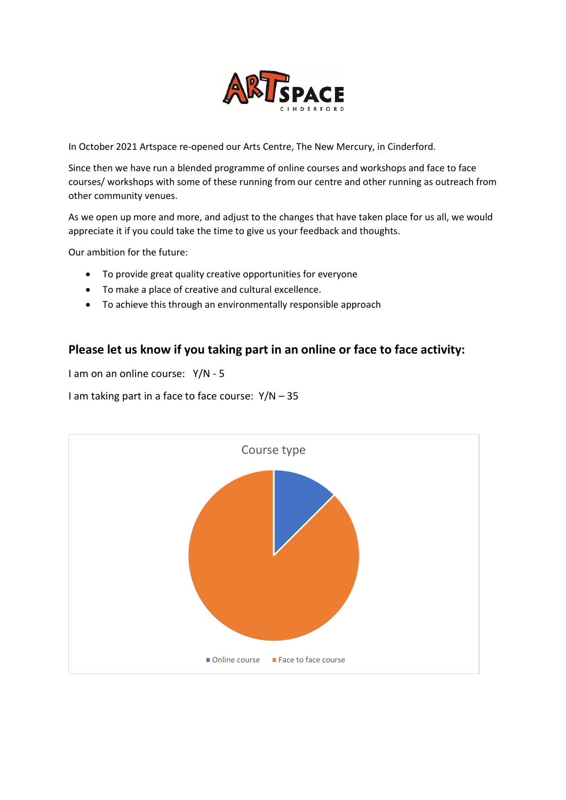

In October 2021 Artspace re-opened our Arts Centre, The New Mercury, in Cinderford.

Since then we have run a blended programme of online courses and workshops and face to face courses/ workshops with some of these running from our centre and other running as outreach from other community venues.

As we open up more and more, and adjust to the changes that have taken place for us all, we would appreciate it if you could take the time to give us your feedback and thoughts.

Our ambition for the future:

- To provide great quality creative opportunities for everyone
- To make a place of creative and cultural excellence.
- To achieve this through an environmentally responsible approach

### **Please let us know if you taking part in an online or face to face activity:**

I am on an online course: Y/N - 5

I am taking part in a face to face course: Y/N – 35

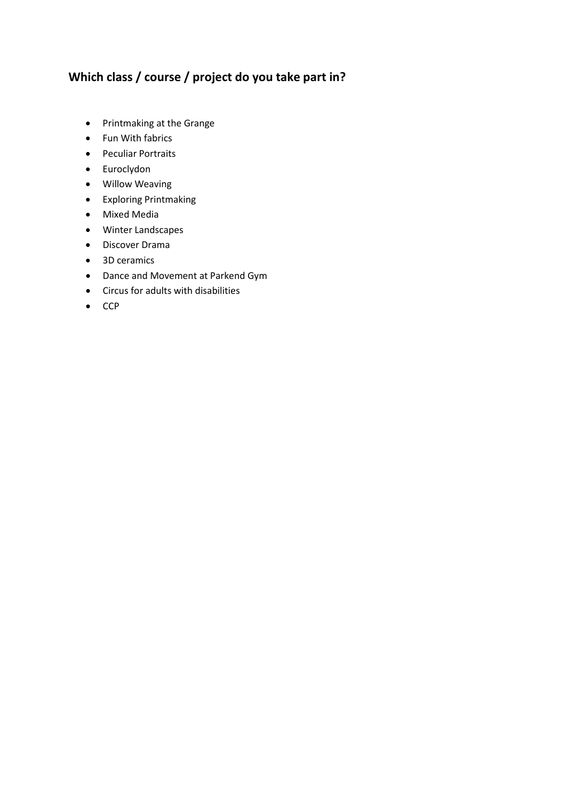# **Which class / course / project do you take part in?**

- Printmaking at the Grange
- Fun With fabrics
- Peculiar Portraits
- Euroclydon
- Willow Weaving
- Exploring Printmaking
- Mixed Media
- Winter Landscapes
- Discover Drama
- 3D ceramics
- Dance and Movement at Parkend Gym
- Circus for adults with disabilities
- CCP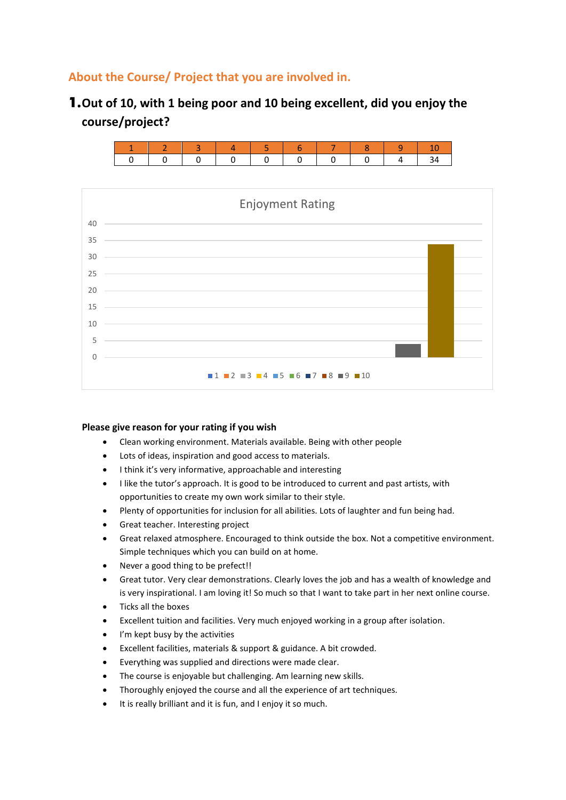### **About the Course/ Project that you are involved in.**

1.**Out of 10, with 1 being poor and 10 being excellent, did you enjoy the course/project?**



#### **Please give reason for your rating if you wish**

- Clean working environment. Materials available. Being with other people
- Lots of ideas, inspiration and good access to materials.
- I think it's very informative, approachable and interesting
- I like the tutor's approach. It is good to be introduced to current and past artists, with opportunities to create my own work similar to their style.
- Plenty of opportunities for inclusion for all abilities. Lots of laughter and fun being had.
- Great teacher. Interesting project
- Great relaxed atmosphere. Encouraged to think outside the box. Not a competitive environment. Simple techniques which you can build on at home.
- Never a good thing to be prefect!!
- Great tutor. Very clear demonstrations. Clearly loves the job and has a wealth of knowledge and is very inspirational. I am loving it! So much so that I want to take part in her next online course.
- Ticks all the boxes
- Excellent tuition and facilities. Very much enjoyed working in a group after isolation.
- I'm kept busy by the activities
- Excellent facilities, materials & support & guidance. A bit crowded.
- Everything was supplied and directions were made clear.
- The course is enjoyable but challenging. Am learning new skills.
- Thoroughly enjoyed the course and all the experience of art techniques.
- It is really brilliant and it is fun, and I enjoy it so much.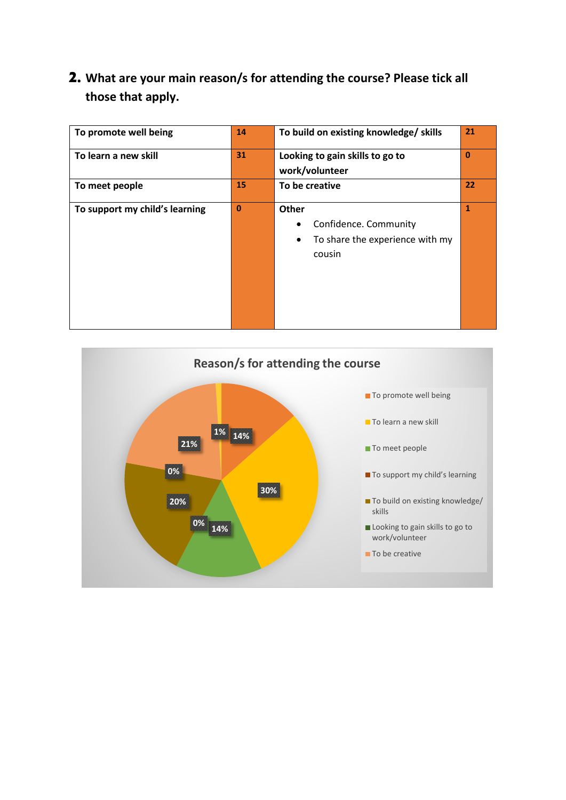# 2. **What are your main reason/s for attending the course? Please tick all those that apply.**

| To promote well being          | 14       | To build on existing knowledge/ skills                                                        | 21           |
|--------------------------------|----------|-----------------------------------------------------------------------------------------------|--------------|
| To learn a new skill           | 31       | Looking to gain skills to go to<br>work/volunteer                                             | $\mathbf 0$  |
| To meet people                 | 15       | To be creative                                                                                | 22           |
| To support my child's learning | $\bf{0}$ | Other<br>Confidence. Community<br>٠<br>To share the experience with my<br>$\bullet$<br>cousin | $\mathbf{1}$ |

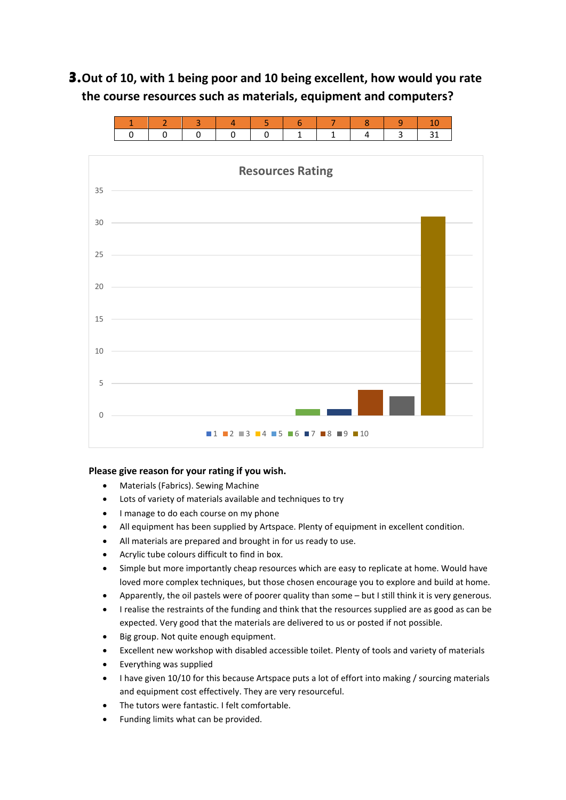# 3.**Out of 10, with 1 being poor and 10 being excellent, how would you rate the course resources such as materials, equipment and computers?**



### **Please give reason for your rating if you wish.**

- Materials (Fabrics). Sewing Machine
- Lots of variety of materials available and techniques to try
- I manage to do each course on my phone
- All equipment has been supplied by Artspace. Plenty of equipment in excellent condition.
- All materials are prepared and brought in for us ready to use.
- Acrylic tube colours difficult to find in box.
- Simple but more importantly cheap resources which are easy to replicate at home. Would have loved more complex techniques, but those chosen encourage you to explore and build at home.
- Apparently, the oil pastels were of poorer quality than some but I still think it is very generous.
- I realise the restraints of the funding and think that the resources supplied are as good as can be expected. Very good that the materials are delivered to us or posted if not possible.
- Big group. Not quite enough equipment.
- Excellent new workshop with disabled accessible toilet. Plenty of tools and variety of materials
- Everything was supplied
- I have given 10/10 for this because Artspace puts a lot of effort into making / sourcing materials and equipment cost effectively. They are very resourceful.
- The tutors were fantastic. I felt comfortable.
- Funding limits what can be provided.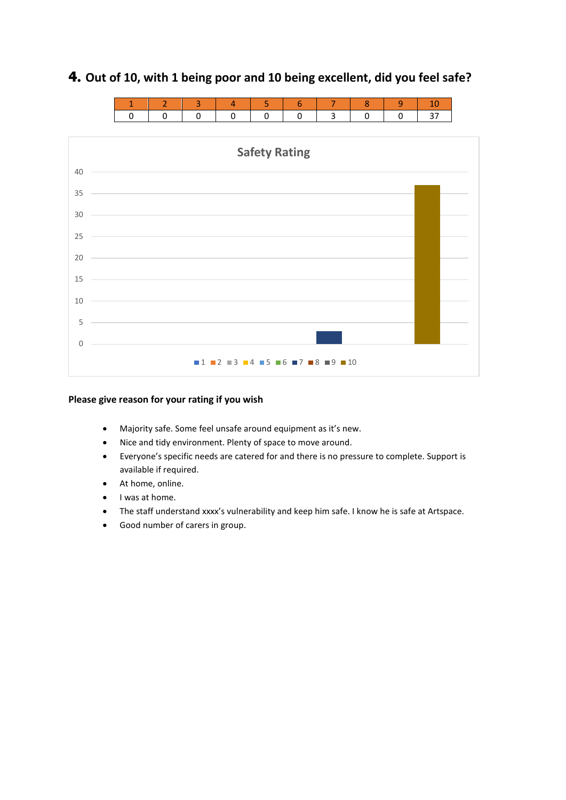

## 4. **Out of 10, with 1 being poor and 10 being excellent, did you feel safe?**

### **Please give reason for your rating if you wish**

- Majority safe. Some feel unsafe around equipment as it's new.
- Nice and tidy environment. Plenty of space to move around.
- Everyone's specific needs are catered for and there is no pressure to complete. Support is available if required.
- At home, online.
- I was at home.
- The staff understand xxxx's vulnerability and keep him safe. I know he is safe at Artspace.
- Good number of carers in group.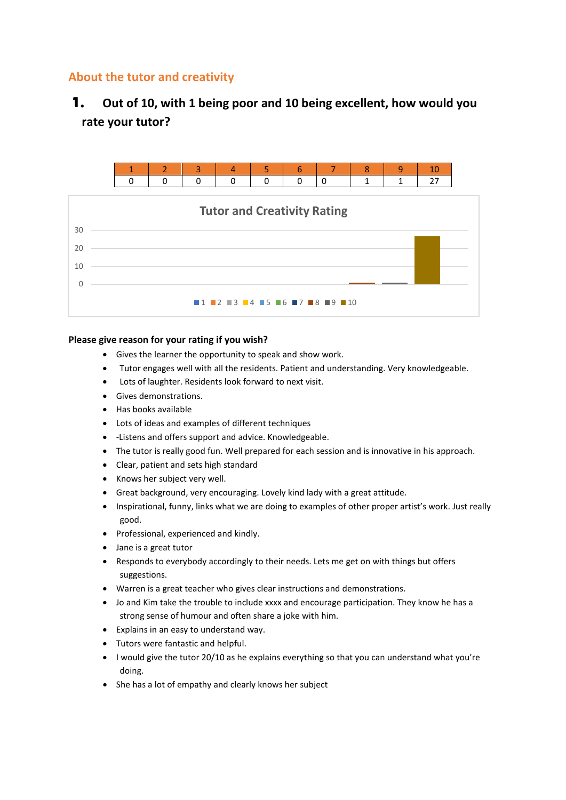## **About the tutor and creativity**

# 1. **Out of 10, with 1 being poor and 10 being excellent, how would you rate your tutor?**



### **Please give reason for your rating if you wish?**

- Gives the learner the opportunity to speak and show work.
- Tutor engages well with all the residents. Patient and understanding. Very knowledgeable.
- Lots of laughter. Residents look forward to next visit.
- Gives demonstrations.
- Has books available
- Lots of ideas and examples of different techniques
- -Listens and offers support and advice. Knowledgeable.
- The tutor is really good fun. Well prepared for each session and is innovative in his approach.
- Clear, patient and sets high standard
- Knows her subject very well.
- Great background, very encouraging. Lovely kind lady with a great attitude.
- Inspirational, funny, links what we are doing to examples of other proper artist's work. Just really good.
- Professional, experienced and kindly.
- Jane is a great tutor
- Responds to everybody accordingly to their needs. Lets me get on with things but offers suggestions.
- Warren is a great teacher who gives clear instructions and demonstrations.
- Jo and Kim take the trouble to include xxxx and encourage participation. They know he has a strong sense of humour and often share a joke with him.
- Explains in an easy to understand way.
- Tutors were fantastic and helpful.
- I would give the tutor 20/10 as he explains everything so that you can understand what you're doing.
- She has a lot of empathy and clearly knows her subject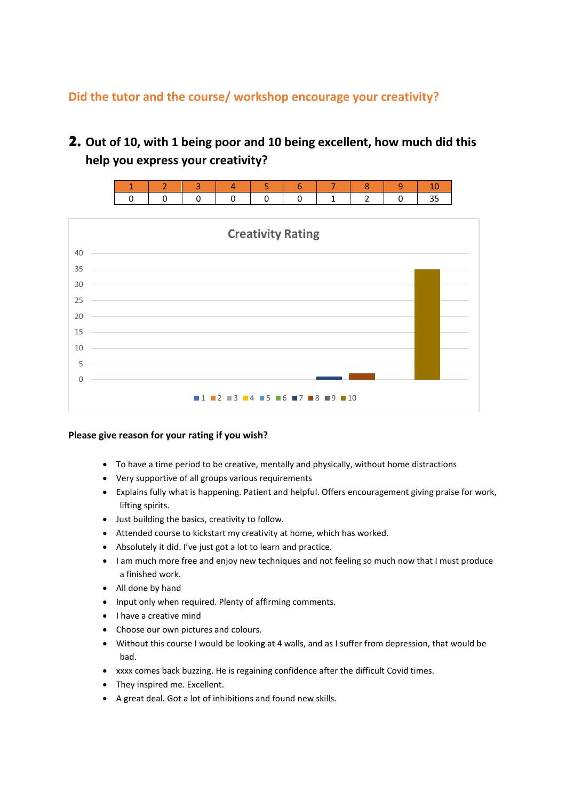## **Did the tutor and the course/ workshop encourage your creativity?**

2. **Out of 10, with 1 being poor and 10 being excellent, how much did this help you express your creativity?** 





### **Please give reason for your rating if you wish?**

- To have a time period to be creative, mentally and physically, without home distractions
- Very supportive of all groups various requirements
- Explains fully what is happening. Patient and helpful. Offers encouragement giving praise for work, lifting spirits.
- Just building the basics, creativity to follow.
- Attended course to kickstart my creativity at home, which has worked.
- Absolutely it did. I've just got a lot to learn and practice.
- I am much more free and enjoy new techniques and not feeling so much now that I must produce a finished work.
- All done by hand
- Input only when required. Plenty of affirming comments.
- I have a creative mind
- Choose our own pictures and colours.
- Without this course I would be looking at 4 walls, and as I suffer from depression, that would be bad.
- xxxx comes back buzzing. He is regaining confidence after the difficult Covid times.
- They inspired me. Excellent.
- A great deal. Got a lot of inhibitions and found new skills.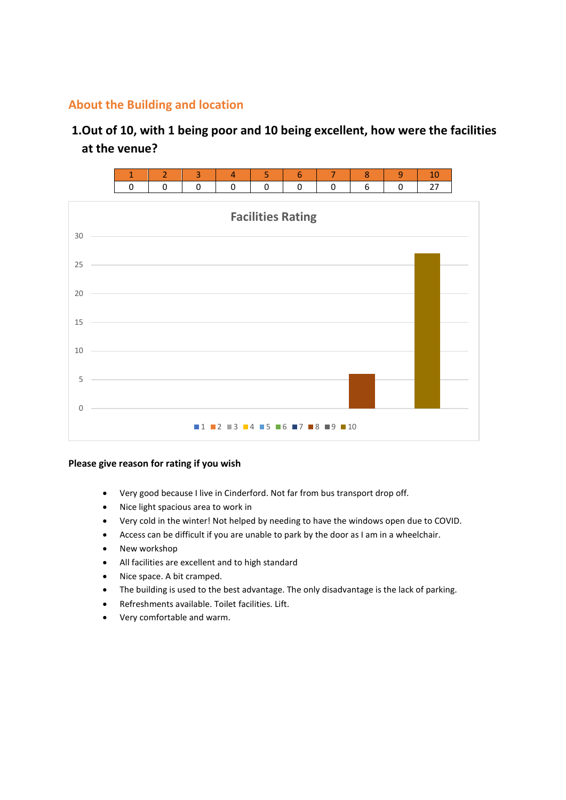### **About the Building and location**

# **1.Out of 10, with 1 being poor and 10 being excellent, how were the facilities at the venue?**





### **Please give reason for rating if you wish**

- Very good because I live in Cinderford. Not far from bus transport drop off.
- Nice light spacious area to work in
- Very cold in the winter! Not helped by needing to have the windows open due to COVID.
- Access can be difficult if you are unable to park by the door as I am in a wheelchair.
- New workshop
- All facilities are excellent and to high standard
- Nice space. A bit cramped.
- The building is used to the best advantage. The only disadvantage is the lack of parking.
- Refreshments available. Toilet facilities. Lift.
- Very comfortable and warm.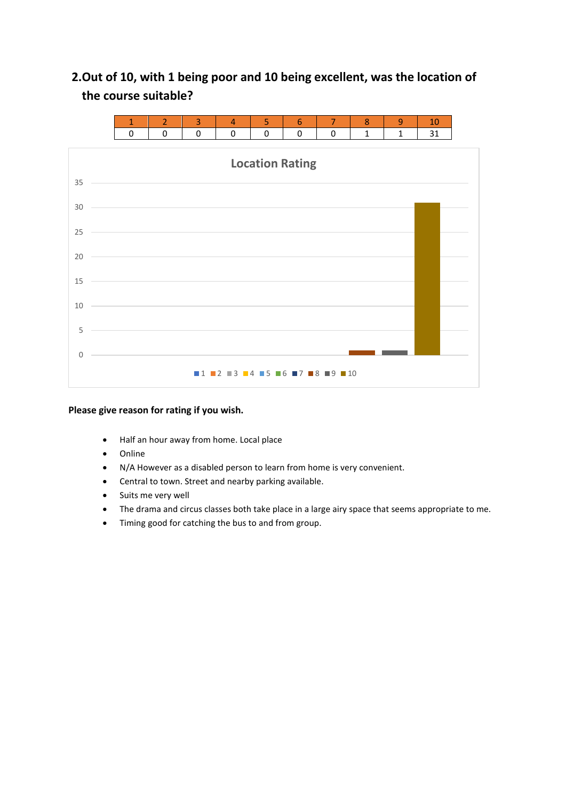# **2.Out of 10, with 1 being poor and 10 being excellent, was the location of the course suitable?**



#### **Please give reason for rating if you wish.**

- Half an hour away from home. Local place
- Online
- N/A However as a disabled person to learn from home is very convenient.
- Central to town. Street and nearby parking available.
- Suits me very well
- The drama and circus classes both take place in a large airy space that seems appropriate to me.
- Timing good for catching the bus to and from group.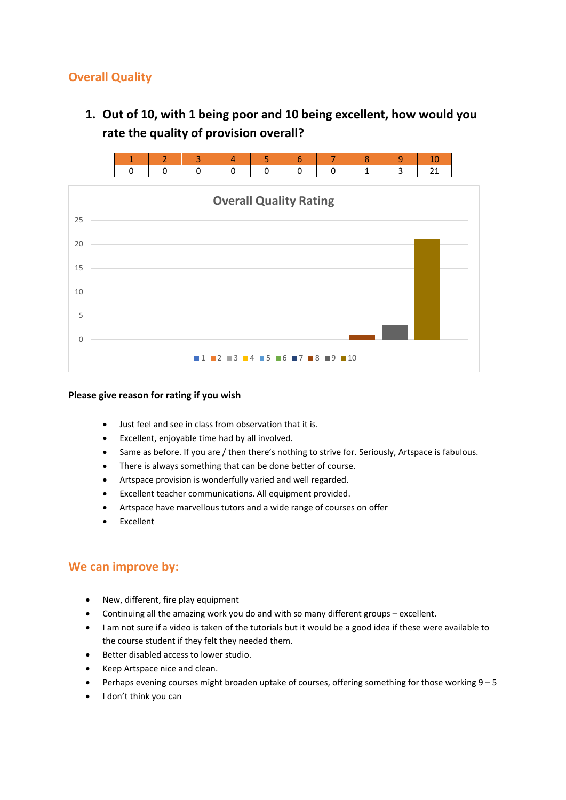## **Overall Quality**

**1. Out of 10, with 1 being poor and 10 being excellent, how would you rate the quality of provision overall?** 





#### **Please give reason for rating if you wish**

- Just feel and see in class from observation that it is.
- Excellent, enjoyable time had by all involved.
- Same as before. If you are / then there's nothing to strive for. Seriously, Artspace is fabulous.
- There is always something that can be done better of course.
- Artspace provision is wonderfully varied and well regarded.
- Excellent teacher communications. All equipment provided.
- Artspace have marvellous tutors and a wide range of courses on offer
- **Excellent**

### **We can improve by:**

- New, different, fire play equipment
- Continuing all the amazing work you do and with so many different groups excellent.
- I am not sure if a video is taken of the tutorials but it would be a good idea if these were available to the course student if they felt they needed them.
- Better disabled access to lower studio.
- Keep Artspace nice and clean.
- Perhaps evening courses might broaden uptake of courses, offering something for those working 9 5
- I don't think you can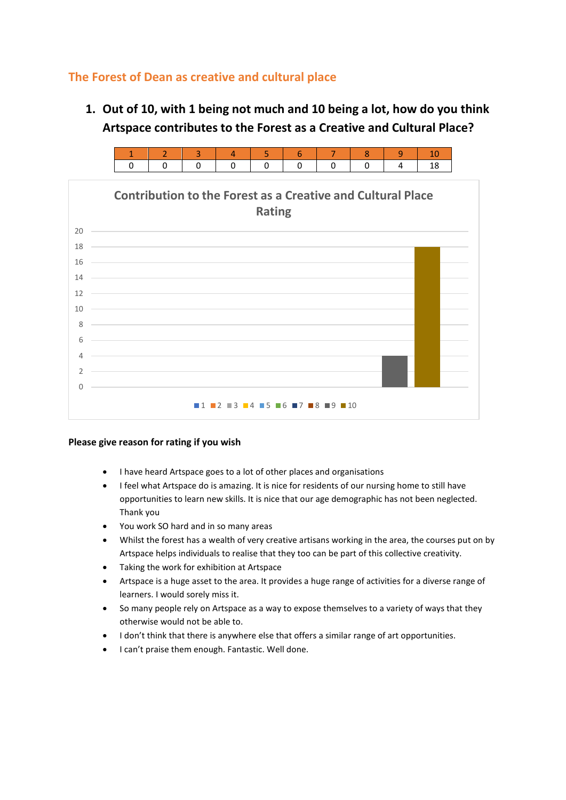## **The Forest of Dean as creative and cultural place**

**1. Out of 10, with 1 being not much and 10 being a lot, how do you think Artspace contributes to the Forest as a Creative and Cultural Place?** 



### **Please give reason for rating if you wish**

- I have heard Artspace goes to a lot of other places and organisations
- I feel what Artspace do is amazing. It is nice for residents of our nursing home to still have opportunities to learn new skills. It is nice that our age demographic has not been neglected. Thank you
- You work SO hard and in so many areas
- Whilst the forest has a wealth of very creative artisans working in the area, the courses put on by Artspace helps individuals to realise that they too can be part of this collective creativity.
- Taking the work for exhibition at Artspace
- Artspace is a huge asset to the area. It provides a huge range of activities for a diverse range of learners. I would sorely miss it.
- So many people rely on Artspace as a way to expose themselves to a variety of ways that they otherwise would not be able to.
- I don't think that there is anywhere else that offers a similar range of art opportunities.
- I can't praise them enough. Fantastic. Well done.